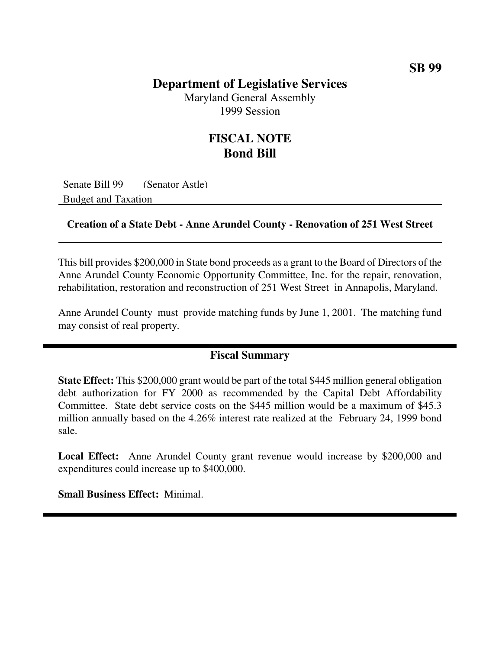### **Department of Legislative Services**

Maryland General Assembly 1999 Session

## **FISCAL NOTE Bond Bill**

Senate Bill 99 (Senator Astle) Budget and Taxation

#### **Creation of a State Debt - Anne Arundel County - Renovation of 251 West Street**

This bill provides \$200,000 in State bond proceeds as a grant to the Board of Directors of the Anne Arundel County Economic Opportunity Committee, Inc. for the repair, renovation, rehabilitation, restoration and reconstruction of 251 West Street in Annapolis, Maryland.

Anne Arundel County must provide matching funds by June 1, 2001. The matching fund may consist of real property.

#### **Fiscal Summary**

**State Effect:** This \$200,000 grant would be part of the total \$445 million general obligation debt authorization for FY 2000 as recommended by the Capital Debt Affordability Committee. State debt service costs on the \$445 million would be a maximum of \$45.3 million annually based on the 4.26% interest rate realized at the February 24, 1999 bond sale.

**Local Effect:** Anne Arundel County grant revenue would increase by \$200,000 and expenditures could increase up to \$400,000.

**Small Business Effect:** Minimal.